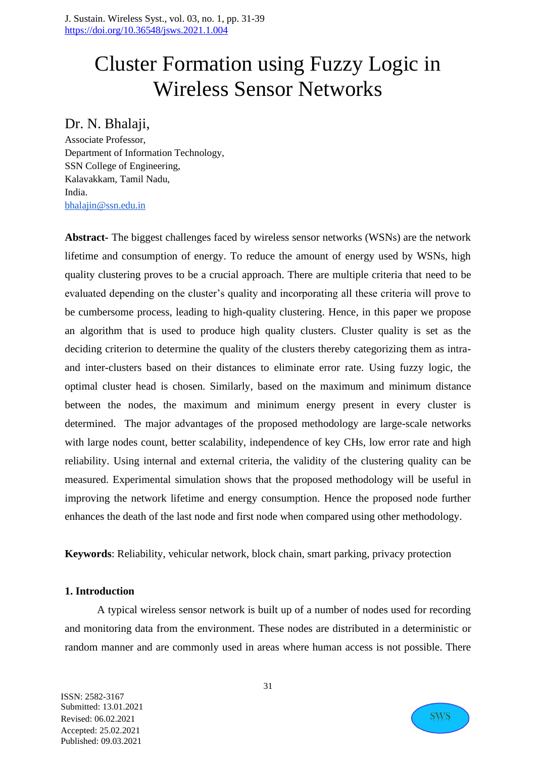# Cluster Formation using Fuzzy Logic in Wireless Sensor Networks

## Dr. N. Bhalaji,

Associate Professor, Department of Information Technology, SSN College of Engineering, Kalavakkam, Tamil Nadu, India. [bhalajin@ssn.edu.in](mailto:bhalajin@ssn.edu.in)

**Abstract-** The biggest challenges faced by wireless sensor networks (WSNs) are the network lifetime and consumption of energy. To reduce the amount of energy used by WSNs, high quality clustering proves to be a crucial approach. There are multiple criteria that need to be evaluated depending on the cluster's quality and incorporating all these criteria will prove to be cumbersome process, leading to high-quality clustering. Hence, in this paper we propose an algorithm that is used to produce high quality clusters. Cluster quality is set as the deciding criterion to determine the quality of the clusters thereby categorizing them as intraand inter-clusters based on their distances to eliminate error rate. Using fuzzy logic, the optimal cluster head is chosen. Similarly, based on the maximum and minimum distance between the nodes, the maximum and minimum energy present in every cluster is determined. The major advantages of the proposed methodology are large-scale networks with large nodes count, better scalability, independence of key CHs, low error rate and high reliability. Using internal and external criteria, the validity of the clustering quality can be measured. Experimental simulation shows that the proposed methodology will be useful in improving the network lifetime and energy consumption. Hence the proposed node further enhances the death of the last node and first node when compared using other methodology.

**Keywords**: Reliability, vehicular network, block chain, smart parking, privacy protection

## **1. Introduction**

A typical wireless sensor network is built up of a number of nodes used for recording and monitoring data from the environment. These nodes are distributed in a deterministic or random manner and are commonly used in areas where human access is not possible. There

31

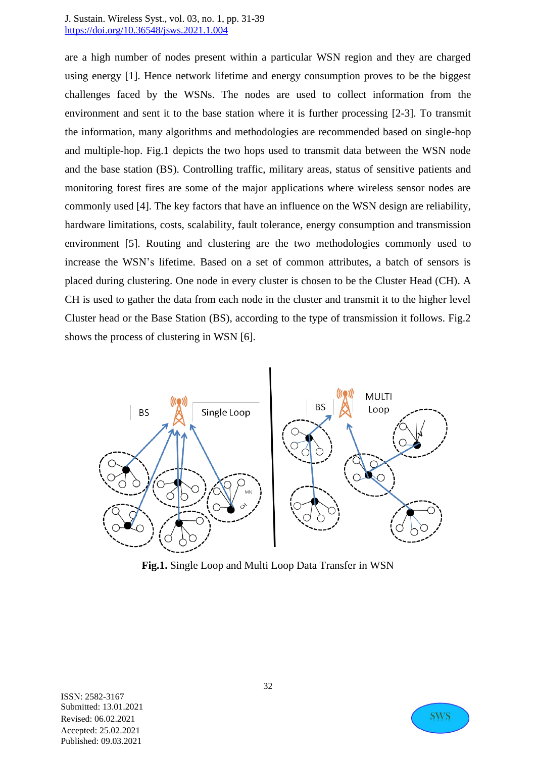are a high number of nodes present within a particular WSN region and they are charged using energy [1]. Hence network lifetime and energy consumption proves to be the biggest challenges faced by the WSNs. The nodes are used to collect information from the environment and sent it to the base station where it is further processing [2-3]. To transmit the information, many algorithms and methodologies are recommended based on single-hop and multiple-hop. Fig.1 depicts the two hops used to transmit data between the WSN node and the base station (BS). Controlling traffic, military areas, status of sensitive patients and monitoring forest fires are some of the major applications where wireless sensor nodes are commonly used [4]. The key factors that have an influence on the WSN design are reliability, hardware limitations, costs, scalability, fault tolerance, energy consumption and transmission environment [5]. Routing and clustering are the two methodologies commonly used to increase the WSN's lifetime. Based on a set of common attributes, a batch of sensors is placed during clustering. One node in every cluster is chosen to be the Cluster Head (CH). A CH is used to gather the data from each node in the cluster and transmit it to the higher level Cluster head or the Base Station (BS), according to the type of transmission it follows. Fig.2 shows the process of clustering in WSN [6].



**Fig.1.** Single Loop and Multi Loop Data Transfer in WSN

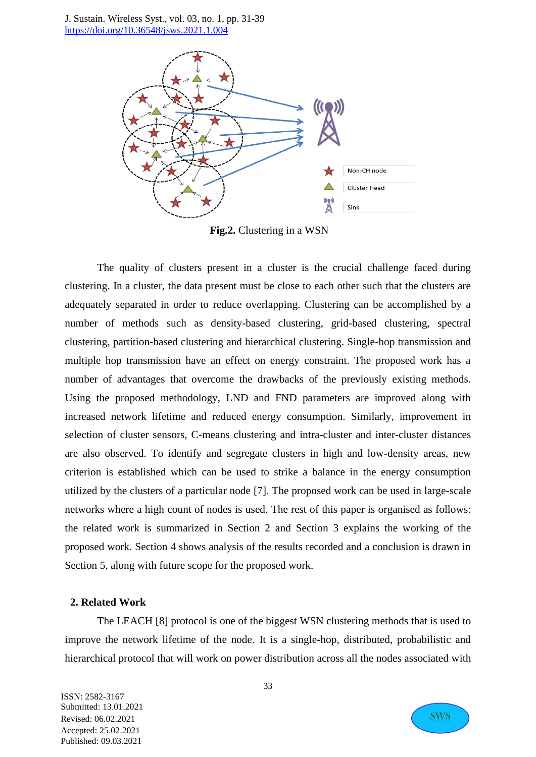

**Fig.2.** Clustering in a WSN

The quality of clusters present in a cluster is the crucial challenge faced during clustering. In a cluster, the data present must be close to each other such that the clusters are adequately separated in order to reduce overlapping. Clustering can be accomplished by a number of methods such as density-based clustering, grid-based clustering, spectral clustering, partition-based clustering and hierarchical clustering. Single-hop transmission and multiple hop transmission have an effect on energy constraint. The proposed work has a number of advantages that overcome the drawbacks of the previously existing methods. Using the proposed methodology, LND and FND parameters are improved along with increased network lifetime and reduced energy consumption. Similarly, improvement in selection of cluster sensors, C-means clustering and intra-cluster and inter-cluster distances are also observed. To identify and segregate clusters in high and low-density areas, new criterion is established which can be used to strike a balance in the energy consumption utilized by the clusters of a particular node [7]. The proposed work can be used in large-scale networks where a high count of nodes is used. The rest of this paper is organised as follows: the related work is summarized in Section 2 and Section 3 explains the working of the proposed work. Section 4 shows analysis of the results recorded and a conclusion is drawn in Section 5, along with future scope for the proposed work.

#### **2. Related Work**

The LEACH [8] protocol is one of the biggest WSN clustering methods that is used to improve the network lifetime of the node. It is a single-hop, distributed, probabilistic and hierarchical protocol that will work on power distribution across all the nodes associated with

ISSN: 2582-3167 Submitted: 13.01.2021 Revised: 06.02.2021 Accepted: 25.02.2021 Published: 09.03.2021

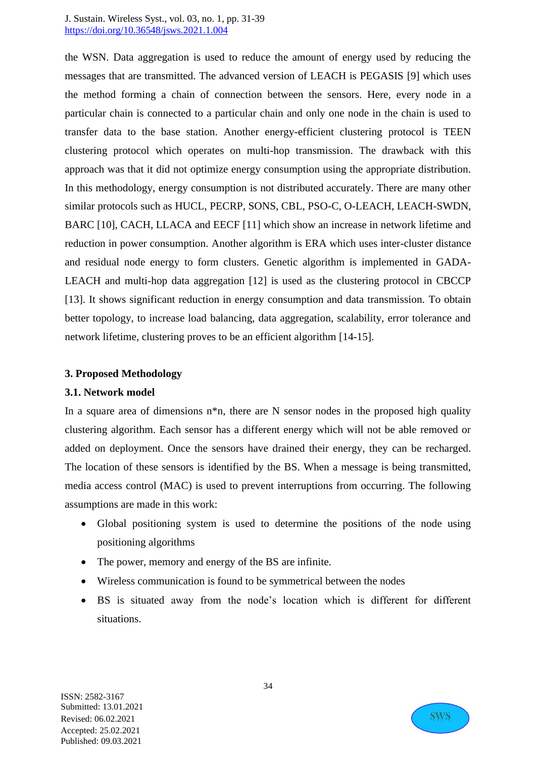the WSN. Data aggregation is used to reduce the amount of energy used by reducing the messages that are transmitted. The advanced version of LEACH is PEGASIS [9] which uses the method forming a chain of connection between the sensors. Here, every node in a particular chain is connected to a particular chain and only one node in the chain is used to transfer data to the base station. Another energy-efficient clustering protocol is TEEN clustering protocol which operates on multi-hop transmission. The drawback with this approach was that it did not optimize energy consumption using the appropriate distribution. In this methodology, energy consumption is not distributed accurately. There are many other similar protocols such as HUCL, PECRP, SONS, CBL, PSO-C, O-LEACH, LEACH-SWDN, BARC [10], CACH, LLACA and EECF [11] which show an increase in network lifetime and reduction in power consumption. Another algorithm is ERA which uses inter-cluster distance and residual node energy to form clusters. Genetic algorithm is implemented in GADA-LEACH and multi-hop data aggregation [12] is used as the clustering protocol in CBCCP [13]. It shows significant reduction in energy consumption and data transmission. To obtain better topology, to increase load balancing, data aggregation, scalability, error tolerance and network lifetime, clustering proves to be an efficient algorithm [14-15].

## **3. Proposed Methodology**

## **3.1. Network model**

In a square area of dimensions  $n^*n$ , there are N sensor nodes in the proposed high quality clustering algorithm. Each sensor has a different energy which will not be able removed or added on deployment. Once the sensors have drained their energy, they can be recharged. The location of these sensors is identified by the BS. When a message is being transmitted, media access control (MAC) is used to prevent interruptions from occurring. The following assumptions are made in this work:

- Global positioning system is used to determine the positions of the node using positioning algorithms
- The power, memory and energy of the BS are infinite.
- Wireless communication is found to be symmetrical between the nodes
- BS is situated away from the node's location which is different for different situations.

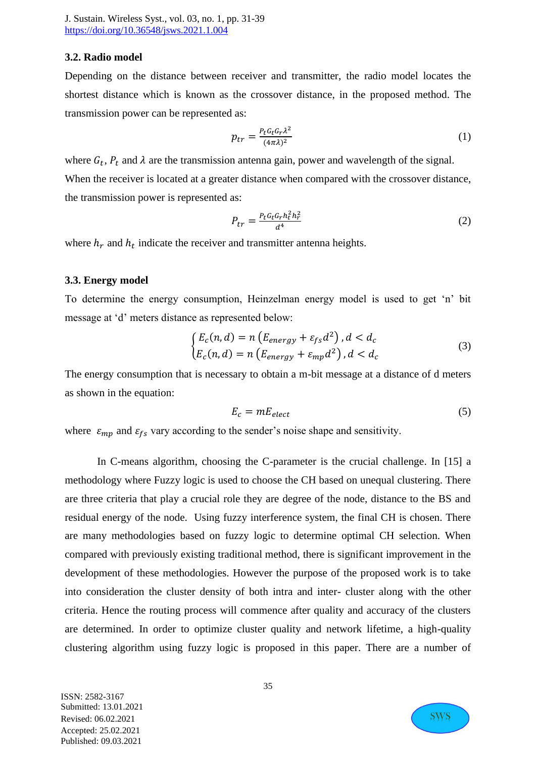### **3.2. Radio model**

Depending on the distance between receiver and transmitter, the radio model locates the shortest distance which is known as the crossover distance, in the proposed method. The transmission power can be represented as:

$$
p_{tr} = \frac{P_t G_t G_r \lambda^2}{(4\pi\lambda)^2} \tag{1}
$$

where  $G_t$ ,  $P_t$  and  $\lambda$  are the transmission antenna gain, power and wavelength of the signal. When the receiver is located at a greater distance when compared with the crossover distance, the transmission power is represented as:

$$
P_{tr} = \frac{P_t G_t G_r h_t^2 h_r^2}{d^4} \tag{2}
$$

where  $h_r$  and  $h_t$  indicate the receiver and transmitter antenna heights.

#### **3.3. Energy model**

To determine the energy consumption, Heinzelman energy model is used to get 'n' bit message at 'd' meters distance as represented below:

$$
\begin{cases} E_c(n,d) = n \left( E_{energy} + \varepsilon_{fs} d^2 \right), d < d_c \\ E_c(n,d) = n \left( E_{energy} + \varepsilon_{mp} d^2 \right), d < d_c \end{cases} \tag{3}
$$

The energy consumption that is necessary to obtain a m-bit message at a distance of d meters as shown in the equation:

$$
E_c = mE_{elect} \tag{5}
$$

where  $\varepsilon_{mp}$  and  $\varepsilon_{fs}$  vary according to the sender's noise shape and sensitivity.

In C-means algorithm, choosing the C-parameter is the crucial challenge. In [15] a methodology where Fuzzy logic is used to choose the CH based on unequal clustering. There are three criteria that play a crucial role they are degree of the node, distance to the BS and residual energy of the node. Using fuzzy interference system, the final CH is chosen. There are many methodologies based on fuzzy logic to determine optimal CH selection. When compared with previously existing traditional method, there is significant improvement in the development of these methodologies. However the purpose of the proposed work is to take into consideration the cluster density of both intra and inter- cluster along with the other criteria. Hence the routing process will commence after quality and accuracy of the clusters are determined. In order to optimize cluster quality and network lifetime, a high-quality clustering algorithm using fuzzy logic is proposed in this paper. There are a number of

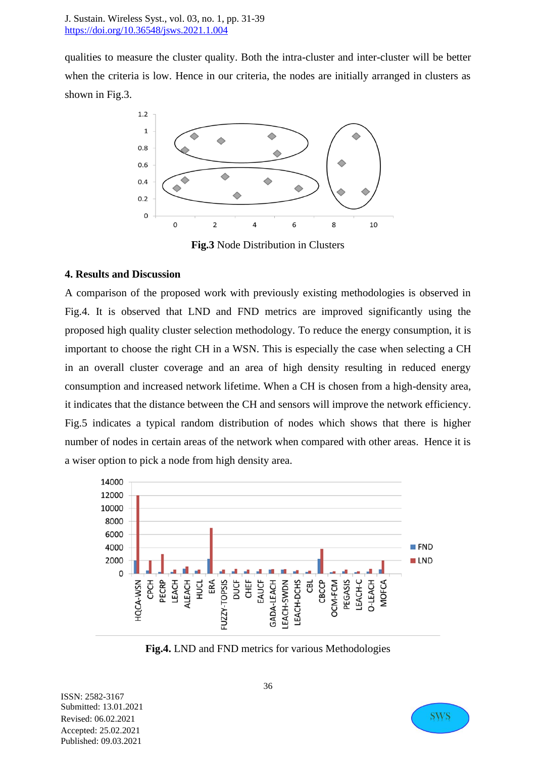qualities to measure the cluster quality. Both the intra-cluster and inter-cluster will be better when the criteria is low. Hence in our criteria, the nodes are initially arranged in clusters as shown in Fig.3.



**Fig.3** Node Distribution in Clusters

## **4. Results and Discussion**

A comparison of the proposed work with previously existing methodologies is observed in Fig.4. It is observed that LND and FND metrics are improved significantly using the proposed high quality cluster selection methodology. To reduce the energy consumption, it is important to choose the right CH in a WSN. This is especially the case when selecting a CH in an overall cluster coverage and an area of high density resulting in reduced energy consumption and increased network lifetime. When a CH is chosen from a high-density area, it indicates that the distance between the CH and sensors will improve the network efficiency. Fig.5 indicates a typical random distribution of nodes which shows that there is higher number of nodes in certain areas of the network when compared with other areas. Hence it is a wiser option to pick a node from high density area.



**Fig.4.** LND and FND metrics for various Methodologies

ISSN: 2582-3167 Submitted: 13.01.2021 Revised: 06.02.2021 Accepted: 25.02.2021 Published: 09.03.2021

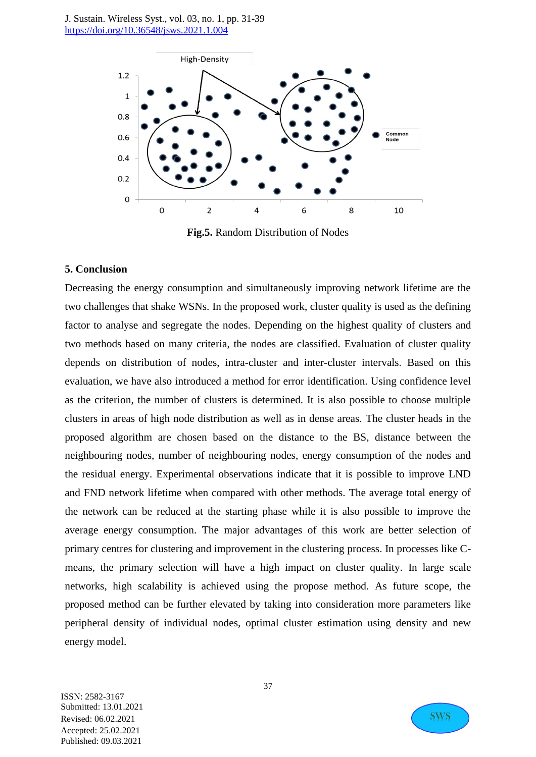

**Fig.5.** Random Distribution of Nodes

#### **5. Conclusion**

Decreasing the energy consumption and simultaneously improving network lifetime are the two challenges that shake WSNs. In the proposed work, cluster quality is used as the defining factor to analyse and segregate the nodes. Depending on the highest quality of clusters and two methods based on many criteria, the nodes are classified. Evaluation of cluster quality depends on distribution of nodes, intra-cluster and inter-cluster intervals. Based on this evaluation, we have also introduced a method for error identification. Using confidence level as the criterion, the number of clusters is determined. It is also possible to choose multiple clusters in areas of high node distribution as well as in dense areas. The cluster heads in the proposed algorithm are chosen based on the distance to the BS, distance between the neighbouring nodes, number of neighbouring nodes, energy consumption of the nodes and the residual energy. Experimental observations indicate that it is possible to improve LND and FND network lifetime when compared with other methods. The average total energy of the network can be reduced at the starting phase while it is also possible to improve the average energy consumption. The major advantages of this work are better selection of primary centres for clustering and improvement in the clustering process. In processes like Cmeans, the primary selection will have a high impact on cluster quality. In large scale networks, high scalability is achieved using the propose method. As future scope, the proposed method can be further elevated by taking into consideration more parameters like peripheral density of individual nodes, optimal cluster estimation using density and new energy model.

ISSN: 2582-3167 Submitted: 13.01.2021 Revised: 06.02.2021 Accepted: 25.02.2021 Published: 09.03.2021



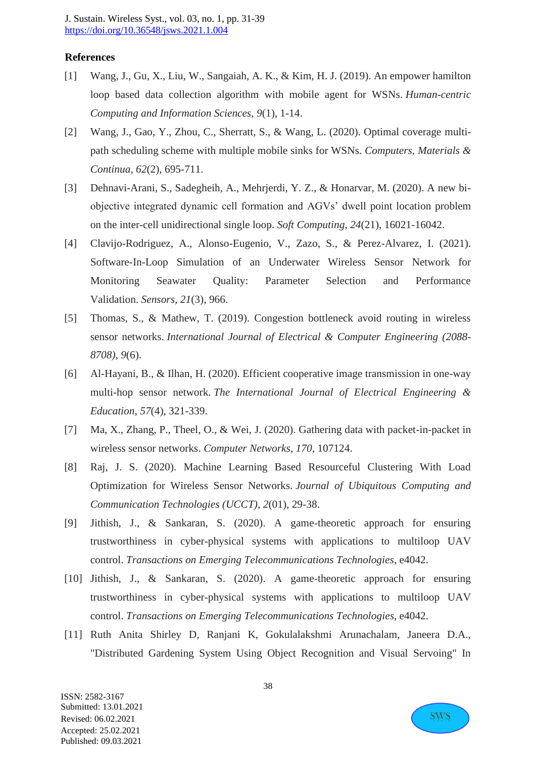### **References**

- [1] Wang, J., Gu, X., Liu, W., Sangaiah, A. K., & Kim, H. J. (2019). An empower hamilton loop based data collection algorithm with mobile agent for WSNs. *Human-centric Computing and Information Sciences*, *9*(1), 1-14.
- [2] Wang, J., Gao, Y., Zhou, C., Sherratt, S., & Wang, L. (2020). Optimal coverage multipath scheduling scheme with multiple mobile sinks for WSNs. *Computers, Materials & Continua*, *62*(2), 695-711.
- [3] Dehnavi-Arani, S., Sadegheih, A., Mehrjerdi, Y. Z., & Honarvar, M. (2020). A new biobjective integrated dynamic cell formation and AGVs' dwell point location problem on the inter-cell unidirectional single loop. *Soft Computing*, *24*(21), 16021-16042.
- [4] Clavijo-Rodriguez, A., Alonso-Eugenio, V., Zazo, S., & Perez-Alvarez, I. (2021). Software-In-Loop Simulation of an Underwater Wireless Sensor Network for Monitoring Seawater Quality: Parameter Selection and Performance Validation. *Sensors*, *21*(3), 966.
- [5] Thomas, S., & Mathew, T. (2019). Congestion bottleneck avoid routing in wireless sensor networks. *International Journal of Electrical & Computer Engineering (2088- 8708)*, *9*(6).
- [6] Al-Hayani, B., & Ilhan, H. (2020). Efficient cooperative image transmission in one-way multi-hop sensor network. *The International Journal of Electrical Engineering & Education*, *57*(4), 321-339.
- [7] Ma, X., Zhang, P., Theel, O., & Wei, J. (2020). Gathering data with packet-in-packet in wireless sensor networks. *Computer Networks*, *170*, 107124.
- [8] Raj, J. S. (2020). Machine Learning Based Resourceful Clustering With Load Optimization for Wireless Sensor Networks. *Journal of Ubiquitous Computing and Communication Technologies (UCCT)*, *2*(01), 29-38.
- [9] Jithish, J., & Sankaran, S. (2020). A game-theoretic approach for ensuring trustworthiness in cyber‐physical systems with applications to multiloop UAV control. *Transactions on Emerging Telecommunications Technologies*, e4042.
- [10] Jithish, J., & Sankaran, S. (2020). A game‐theoretic approach for ensuring trustworthiness in cyber‐physical systems with applications to multiloop UAV control. *Transactions on Emerging Telecommunications Technologies*, e4042.
- [11] Ruth Anita Shirley D, Ranjani K, Gokulalakshmi Arunachalam, Janeera D.A., "Distributed Gardening System Using Object Recognition and Visual Servoing" In